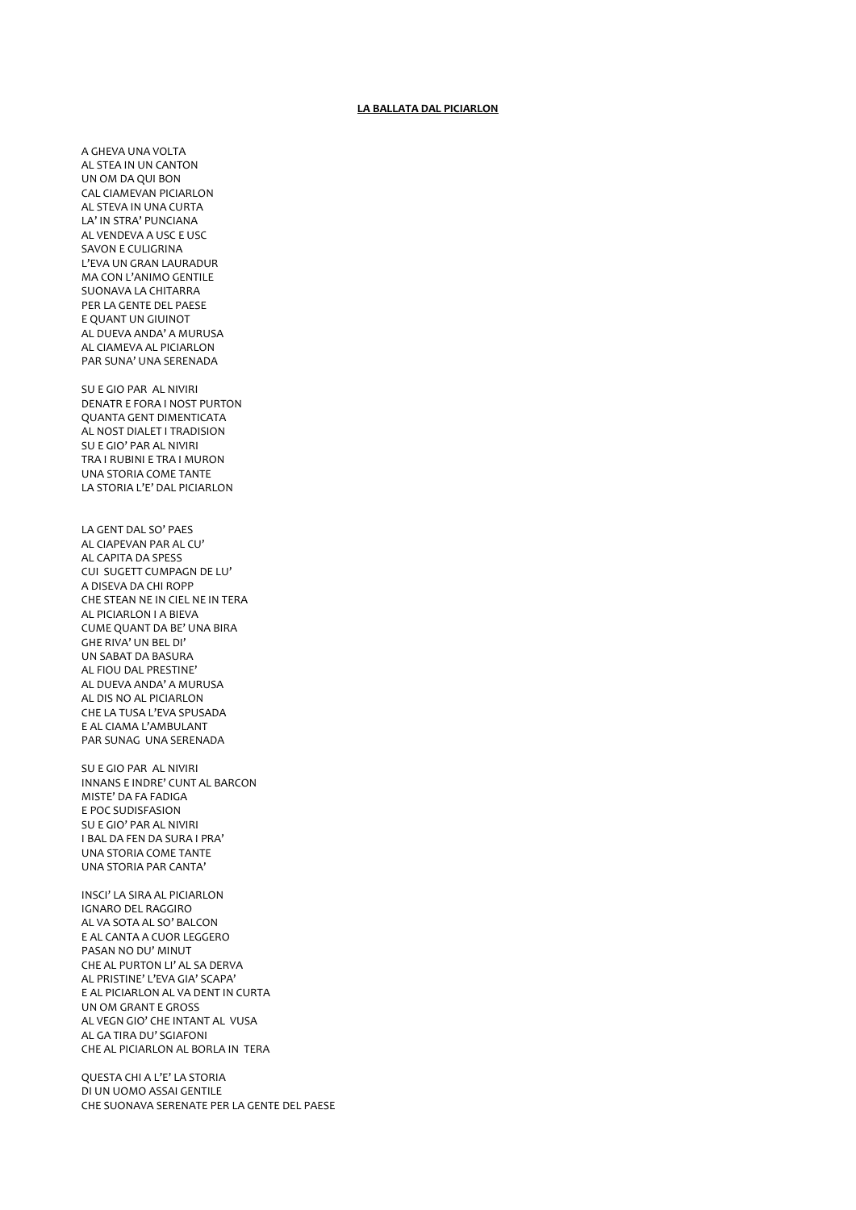## **LA BALLATA DAL PICIARLON**

A GHEVA UNA VOLTA AL STEA IN UN CANTON UN OM DA QUI BON CAL CIAMEVAN PICIARLON AL STEVA IN UNA CURTA LA' IN STRA' PUNCIANA AL VENDEVA A USC E USC SAVON E CULIGRINA L'EVA UN GRAN LAURADUR MA CON L'ANIMO GENTILE SUONAVA LA CHITARRA PER LA GENTE DEL PAESE E QUANT UN GIUINOT AL DUEVA ANDA' A MURUSA AL CIAMEVA AL PICIARLON PAR SUNA' UNA SERENADA

SUE GIO PAR AL NIVIRI **DENATR E FORA I NOST PURTON OUANTA GENT DIMENTICATA** AL NOST DIALET I TRADISION SU E GIO' PAR AL NIVIRI TRA I RUBINI E TRA I MURON **UNA STORIA COME TANTE** LA STORIA L'E' DAL PICIARLON

LA GENT DAL SO' PAES AL CIAPEVAN PAR AL CU' AL CAPITA DA SPESS CUI SUGETT CUMPAGN DE LU' A DISEVA DA CHI ROPP CHE STEAN NE IN CIEL NE IN TERA AL PICIARLON I A BIEVA CUME QUANT DA BE' UNA BIRA GHE RIVA' UN BEL DI' UN SABAT DA BASURA AL FIOU DAL PRESTINE' AL DUEVA ANDA' A MURUSA AL DIS NO AL PICIARLON CHE LA TUSA L'EVA SPUSADA E AL CIAMA L'AMBULANT PAR SUNAG UNA SERENADA

SU E GIO PAR AL NIVIRI INNANS E INDRE' CUNT AL BARCON MISTE' DA FA FADIGA E POC SUDISFASION SU E GIO' PAR AL NIVIRI I BAL DA FEN DA SURA I PRA' **UNA STORIA COME TANTE** UNA STORIA PAR CANTA'

INSCI' LA SIRA AL PICIARLON **IGNARO DEL RAGGIRO** AL VA SOTA AL SO' BALCON E AL CANTA A CUOR LEGGERO PASAN NO DU' MINUT CHE AL PURTON LI' AL SA DERVA AL PRISTINE' L'EVA GIA' SCAPA' E AL PICIARLON AL VA DENT IN CURTA UN OM GRANT E GROSS AL VEGN GIO' CHE INTANT AL VUSA AL GA TIRA DU' SGIAFONI CHE AL PICIARLON AL BORLA IN TERA

QUESTA CHI A L'E' LA STORIA DI UN UOMO ASSAI GENTILE CHE SUONAVA SERENATE PER LA GENTE DEL PAESE